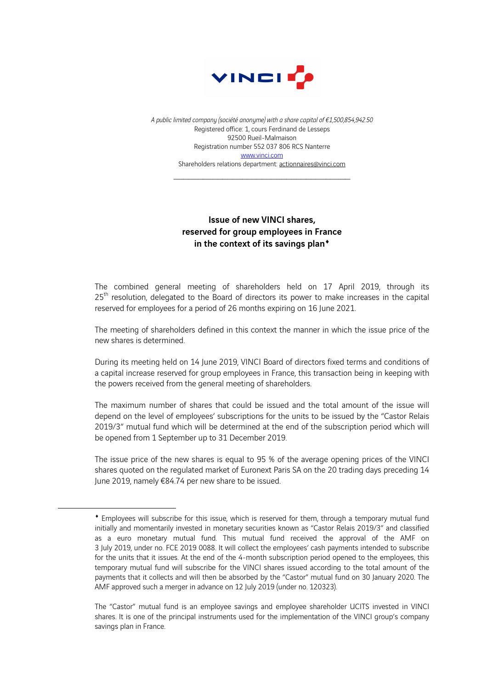

*A public limited company (société anonyme) with a share capital of €1,500,854,942.50* Registered office: 1, cours Ferdinand de Lesseps 92500 Rueil-Malmaison Registration number 552 037 806 RCS Nanterre www.vinci.com Shareholders relations department: actionnaires@vinci.com

## Issue of new VINCI shares, reserved for group employees in France in the context of its savings plan<sup>\*</sup>

The combined general meeting of shareholders held on 17 April 2019, through its 25<sup>th</sup> resolution, delegated to the Board of directors its power to make increases in the capital reserved for employees for a period of 26 months expiring on 16 June 2021.

The meeting of shareholders defined in this context the manner in which the issue price of the new shares is determined.

During its meeting held on 14 June 2019, VINCI Board of directors fixed terms and conditions of a capital increase reserved for group employees in France, this transaction being in keeping with the powers received from the general meeting of shareholders.

The maximum number of shares that could be issued and the total amount of the issue will depend on the level of employees' subscriptions for the units to be issued by the "Castor Relais 2019/3" mutual fund which will be determined at the end of the subscription period which will be opened from 1 September up to 31 December 2019.

The issue price of the new shares is equal to 95 % of the average opening prices of the VINCI shares quoted on the regulated market of Euronext Paris SA on the 20 trading days preceding 14 June 2019, namely €84.74 per new share to be issued.

<sup>¨</sup> Employees will subscribe for this issue, which is reserved for them, through a temporary mutual fund initially and momentarily invested in monetary securities known as "Castor Relais 2019/3" and classified as a euro monetary mutual fund. This mutual fund received the approval of the AMF on 3 July 2019, under no. FCE 2019 0088. It will collect the employees' cash payments intended to subscribe for the units that it issues. At the end of the 4-month subscription period opened to the employees, this temporary mutual fund will subscribe for the VINCI shares issued according to the total amount of the payments that it collects and will then be absorbed by the "Castor" mutual fund on 30 January 2020. The AMF approved such a merger in advance on 12 July 2019 (under no. 120323).

The "Castor" mutual fund is an employee savings and employee shareholder UCITS invested in VINCI shares. It is one of the principal instruments used for the implementation of the VINCI group's company savings plan in France.